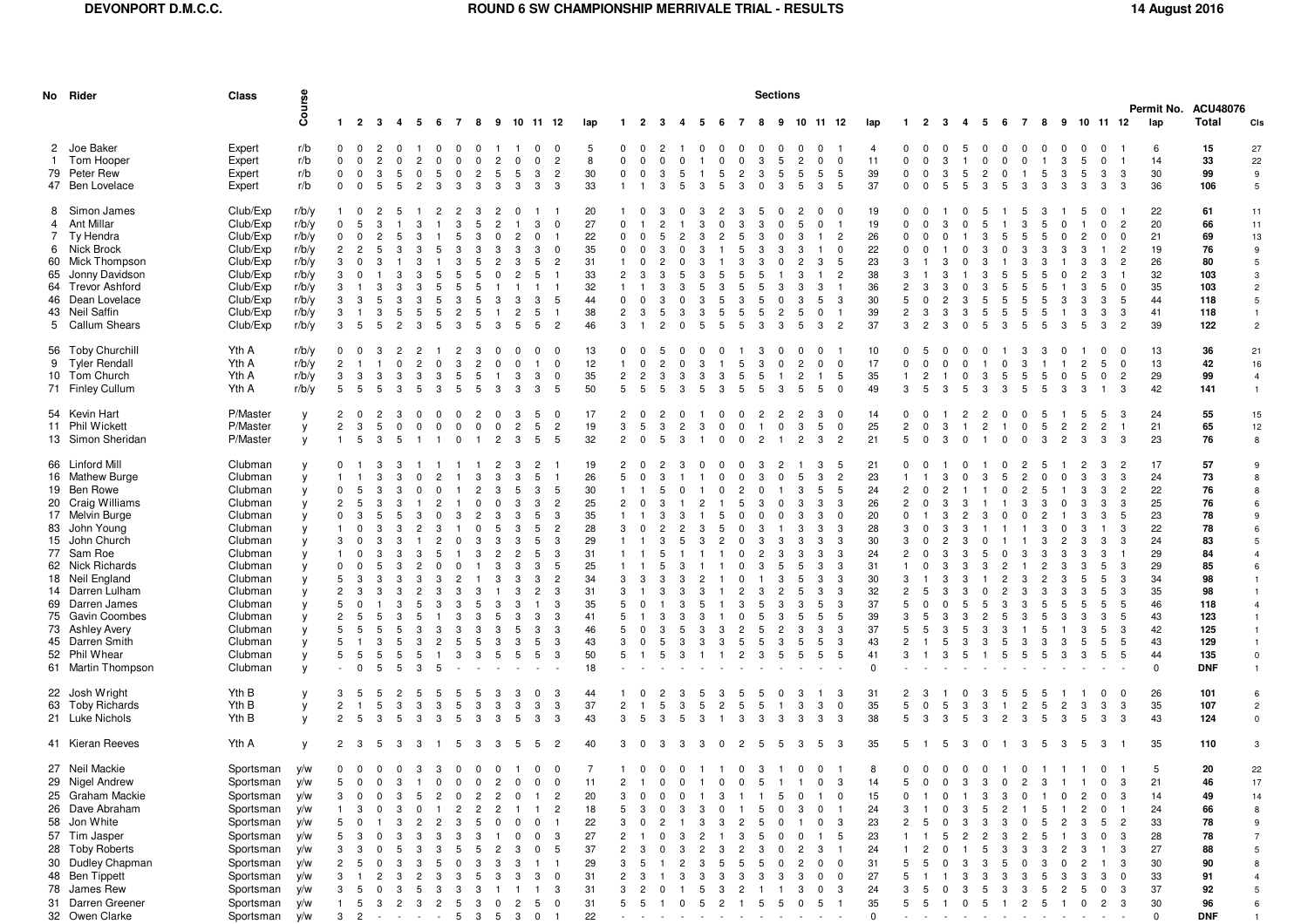|                | No Rider                                                                                                                                                                                                                                                                                                                  | Class                                                                                                                                                                                   |                                                                                        | <b>Sections</b>                                                  |                                                                                        |                                              |                                               |                                                                                    |                                               |                                                                                       |                                                                             |                                                                             |                                                                                                                                                                                                |                                                                                                    |                                                                                           |                                                 | Permit No. ACU48076          |                                        |                |                                                      |                                                                                           |                                                         |                                                   |                                                                              |                                                                                                       |                                                                                                          |                                                                                                                             |                                 |                                                             |                                                        |                                                   |                                                                                                  |                                                                                                        |                                   |                                                                                             |                                                                                                                                                                 |                                                                                                             |                                                                                                                 |                                                                                                                                                                                       |
|----------------|---------------------------------------------------------------------------------------------------------------------------------------------------------------------------------------------------------------------------------------------------------------------------------------------------------------------------|-----------------------------------------------------------------------------------------------------------------------------------------------------------------------------------------|----------------------------------------------------------------------------------------|------------------------------------------------------------------|----------------------------------------------------------------------------------------|----------------------------------------------|-----------------------------------------------|------------------------------------------------------------------------------------|-----------------------------------------------|---------------------------------------------------------------------------------------|-----------------------------------------------------------------------------|-----------------------------------------------------------------------------|------------------------------------------------------------------------------------------------------------------------------------------------------------------------------------------------|----------------------------------------------------------------------------------------------------|-------------------------------------------------------------------------------------------|-------------------------------------------------|------------------------------|----------------------------------------|----------------|------------------------------------------------------|-------------------------------------------------------------------------------------------|---------------------------------------------------------|---------------------------------------------------|------------------------------------------------------------------------------|-------------------------------------------------------------------------------------------------------|----------------------------------------------------------------------------------------------------------|-----------------------------------------------------------------------------------------------------------------------------|---------------------------------|-------------------------------------------------------------|--------------------------------------------------------|---------------------------------------------------|--------------------------------------------------------------------------------------------------|--------------------------------------------------------------------------------------------------------|-----------------------------------|---------------------------------------------------------------------------------------------|-----------------------------------------------------------------------------------------------------------------------------------------------------------------|-------------------------------------------------------------------------------------------------------------|-----------------------------------------------------------------------------------------------------------------|---------------------------------------------------------------------------------------------------------------------------------------------------------------------------------------|
|                |                                                                                                                                                                                                                                                                                                                           |                                                                                                                                                                                         | Course                                                                                 |                                                                  | 1 2 3 4 5 6                                                                            |                                              |                                               |                                                                                    |                                               |                                                                                       |                                                                             |                                                                             | 7 8 9 10 11 12                                                                                                                                                                                 | lap                                                                                                | $\blacksquare$                                                                            | $\overline{2}$                                  | - 3                          | 45                                     |                | - 6<br>$\overline{7}$                                |                                                                                           |                                                         | 8 9 10 11 12                                      |                                                                              |                                                                                                       | lap                                                                                                      |                                                                                                                             | 1 2 3                           | 4                                                           | -5                                                     | 6                                                 |                                                                                                  |                                                                                                        |                                   | 7 8 9 10 11 12                                                                              |                                                                                                                                                                 | lap                                                                                                         | <b>Total</b>                                                                                                    | CIs                                                                                                                                                                                   |
|                | 2 Joe Baker<br>1 Tom Hooper<br>79 Peter Rew<br>47 Ben Lovelace                                                                                                                                                                                                                                                            | Expert<br>Expert<br>Expert<br>Expert                                                                                                                                                    | r/b<br>r/b<br>r/b<br>r/b                                                               | $^{\circ}$<br>$\mathbf 0$<br>$^{\circ}$<br>$\mathbf 0$           | - 0<br>$^{\circ}$<br>$\mathbf 0$<br>$\mathbf{0}$                                       | $\overline{2}$<br>$\overline{2}$<br>-3<br>-5 | - 0<br>$\Omega$<br>-5<br>$\overline{2}$<br>-5 | $\Omega$<br>$\overline{2}$<br>$\mathbf 0$<br>$\Omega$<br>-5<br>3                   | 0<br>$^{\circ}$<br>$\Omega$<br>3              | - 0<br>$\overline{0}$<br>$\overline{2}$<br>-3                                         | $\overline{c}$<br>-5<br>-3                                                  | $^{\circ}$<br>-5<br>3                                                       | $\overline{0}$<br>$\Omega$<br>$\mathbf 0$<br>$\overline{2}$<br>$\overline{c}$<br>3<br>3<br>3                                                                                                   | 5<br>8<br>30<br>33                                                                                 | 0<br>$\Omega$<br>0<br>-1                                                                  | 0<br>$\Omega$<br>- 0                            | -2<br>$\Omega$<br>-3         | $\Omega$<br>-5<br>-5                   | $\Omega$<br>3  | 0<br>$\Omega$<br>$\Omega$<br>$\Omega$<br>5<br>5<br>3 | $\Omega$<br>3<br>$\overline{c}$<br>3<br>$\Omega$                                          | - 0<br>5<br>-5<br>3                                     | $\Omega$<br>$\overline{2}$<br>5<br>5              | $\Omega$<br>$\mathbf 0$<br>5<br>3                                            | $\overline{\mathbf{0}}$<br>5<br>5                                                                     | $\overline{4}$<br>11<br>39<br>37                                                                         | $^{\circ}$<br>$\mathbf 0$<br>$\Omega$<br>$\mathbf 0$                                                                        | $^{\circ}$<br>$\Omega$<br>- 0   | 0<br>-5<br>3<br>3<br>5<br>5<br>-5                           | $\Omega$<br>$\mathbf 0$<br>2<br>3                      | $\Omega$<br>$\Omega$<br>$\Omega$<br>5             | $^{\circ}$<br>$\Omega$<br>-3                                                                     | $^{\circ}$<br>-5<br>3                                                                                  | $^{\circ}$<br>3<br>3<br>3         | $^{\circ}$<br>$\Omega$<br>5<br>5<br>3                                                       | 0<br>3<br>-3<br>-3<br>- 3                                                                                                                                       | 6<br>14<br>30<br>36                                                                                         | 15<br>33<br>99<br>106                                                                                           | 27<br>22<br>9<br>$\,$ 5 $\,$                                                                                                                                                          |
| $\overline{4}$ | 8 Simon James<br>Ant Millar<br>7 Ty Hendra<br>6 Nick Brock<br>60 Mick Thompson<br>65 Jonny Davidson<br>64 Trevor Ashford<br>46 Dean Lovelace<br>43 Neil Saffin<br>5 Callum Shears                                                                                                                                         | Club/Exp<br>Club/Exp<br>Club/Exp<br>Club/Exp<br>Club/Exp<br>Club/Exp<br>Club/Exp<br>Club/Exp<br>Club/Exp<br>Club/Exp                                                                    | r/b/y<br>r/b/v<br>r/b/y<br>r/b/v<br>r/b/y<br>r/b/y<br>r/b/y<br>r/b/y<br>r/b/y<br>r/b/y | -1<br>0<br>$^{\circ}$<br>$\overline{2}$<br>3<br>3<br>3<br>3<br>3 | - 0<br>5<br>- 0<br>-3<br>-5                                                            | 2<br>3<br>2<br>-3<br>-5                      |                                               | 3<br>3<br>-5<br>5<br>з<br>5                                                        | 2<br>3<br>5<br>3<br>5<br>3<br>2<br>З          | 3<br>-5<br>3<br>5<br>5<br>5<br>5<br>5                                                 | -2<br>$\Omega$                                                              | $\overline{2}$<br>3<br>3<br>2<br>-5                                         | 3<br>0<br>$\Omega$<br>3<br>$\Omega$<br>5<br>2<br>-5<br>3<br>-5<br>-5<br>$\overline{2}$<br>-5                                                                                                   | 20<br>27<br>22<br>35<br>31<br>33<br>32<br>44<br>38<br>46                                           | $\mathbf{0}$<br>$\Omega$<br>$\Omega$<br>$\overline{2}$<br>$\Omega$<br>$\overline{2}$<br>3 | $\Omega$<br>- 0<br>3<br>$\Omega$<br>-3          | 2<br>5                       |                                        | 3<br>з<br>5    | $\Omega$<br>3<br>2<br>5<br>5<br>5                    | 3<br>5<br>3<br>5<br>3<br>5<br>5<br>5<br>5<br>з                                            | $\Omega$<br>-2<br>3                                     | -5<br>3<br>-5<br>-5                               | <sup>0</sup><br>$\Omega$<br>3<br>3<br>5<br>0<br>3                            | -0<br>$\overline{c}$<br>5<br>$\overline{c}$<br>-3<br>$\overline{2}$                                   | 19<br>19<br>26<br>22<br>23<br>38<br>36<br>30<br>39<br>37                                                 | n<br>$\mathbf 0$<br>$\Omega$<br>3<br>3<br>.5<br>$\overline{2}$<br>3                                                         | 0<br>3<br>2                     | -3<br>$\Omega$<br>$\overline{2}$<br>3<br>3<br>3             | h<br>5<br>3<br>з<br>5<br>5<br>-5                       | 5<br>5<br>5<br>з                                  | h<br>3<br>5<br>3<br>5<br>5<br>5<br>-5                                                            | -5<br>-5<br>-3<br>5<br>-5<br>-5<br>-5                                                                  | 3<br>3                            | 5<br>0<br>2<br>3<br>3<br>2<br>3<br>3<br>3<br>3<br>3<br>5<br>3                               | $\overline{2}$<br>$\Omega$<br>$\Omega$<br>$\Omega$<br>$\overline{2}$<br>2<br>5<br>$\Omega$<br>-5<br>-3<br>$\overline{2}$                                        | 22<br>20<br>21<br>19<br>26<br>32<br>35<br>44<br>41<br>39                                                    | 61<br>66<br>69<br>76<br>80<br>103<br>103<br>118<br>118<br>122                                                   | 11<br>11<br>13<br>9<br>5<br>$\mathbf{3}$<br>$\overline{2}$<br>$\overline{5}$<br>$\mathbf{1}$<br>$\overline{2}$                                                                        |
|                | 56 Toby Churchill<br>9 Tyler Rendall<br>10 Tom Church<br>71 Finley Cullum                                                                                                                                                                                                                                                 | Yth A<br>Yth A<br>Yth A<br>Yth A                                                                                                                                                        | r/b/y<br>r/b/v<br>r/b/y<br>r/b/y                                                       | $\Omega$<br>2<br>3<br>5                                          | - 0<br>-3<br>5                                                                         | -3<br>3<br>-5                                | $\Omega$                                      | $\overline{2}$<br>$^{\circ}$<br>3<br>-3                                            | 2<br>3<br>5<br>5                              | 3<br>$\overline{2}$<br>-5<br>5                                                        |                                                                             | 3<br>3                                                                      | $\Omega$<br>$\Omega$<br>-1<br>3<br>$^{\circ}$<br>3<br>-5                                                                                                                                       | 13<br>12<br>35<br>50                                                                               | <sup>0</sup><br>$\overline{2}$<br>5                                                       | $\mathbf 0$<br>$\overline{2}$<br>-5             | $\overline{2}$<br>3          | $\Omega$<br>3<br>3                     | 3<br>3         | -5<br>3<br>-5<br>3                                   | 3<br>5<br>5<br>5                                                                          | $\Omega$<br>3                                           | $\overline{2}$<br>2                               | <sup>0</sup><br>0<br>5                                                       | $\Omega$<br>5<br>$\Omega$                                                                             | 10<br>17<br>35<br>49                                                                                     | $\mathbf 0$<br>3                                                                                                            | $\Omega$<br>$\overline{2}$<br>5 | $^{\circ}$<br>$^{\circ}$<br>$\Omega$<br>3                   | 3<br>з                                                 | $\Omega$<br>5<br>з                                | -3<br>3<br>-5<br>5                                                                               | 5<br>5                                                                                                 | - 0                               | $\overline{c}$<br>5<br>$\Omega$<br>З                                                        | - 0<br>$\Omega$<br>$\mathbf 0$<br>5<br>$\overline{2}$<br>3                                                                                                      | 13<br>13<br>29<br>42                                                                                        | 36<br>42<br>99<br>141                                                                                           | 21<br>16<br>$\overline{4}$<br>$\mathbf{1}$                                                                                                                                            |
|                | 54 Kevin Hart<br>11 Phil Wickett<br>13 Simon Sheridan                                                                                                                                                                                                                                                                     | P/Master<br>P/Master<br>P/Master                                                                                                                                                        | y<br>у<br>y                                                                            | $\overline{2}$<br>$\overline{2}$                                 | 3<br>-5                                                                                | 5<br>3                                       | -5                                            |                                                                                    | $\Omega$                                      | 2<br>$\Omega$                                                                         | 2                                                                           | 2<br>3                                                                      | 0<br>-5<br>$\overline{c}$<br>5<br>5<br>5                                                                                                                                                       | 17<br>19<br>32                                                                                     | $\overline{2}$<br>3<br>$\overline{2}$                                                     | -5<br>$\Omega$                                  | 3<br>5                       | $\overline{2}$<br>3                    | 3              | $\Omega$<br>$\Omega$                                 | $\overline{2}$                                                                            | $\Omega$                                                | $\mathfrak{p}$                                    | з<br>5<br>3                                                                  | $\mathbf 0$<br>$\overline{2}$                                                                         | 14<br>25<br>21                                                                                           | 0<br>$\overline{2}$<br>5                                                                                                    | $\Omega$<br>$\Omega$            | 3<br>3<br>$\Omega$                                          | $\overline{2}$                                         | $\Omega$                                          | $\Omega$<br>$\Omega$                                                                             | 5<br>3                                                                                                 | $\mathcal{P}$                     | -5<br>$\overline{2}$<br>3                                                                   | -3<br>$\overline{c}$<br>3<br>-3                                                                                                                                 | 24<br>21<br>23                                                                                              | 55<br>65<br>76                                                                                                  | 15<br>12<br>8                                                                                                                                                                         |
|                | 66 Linford Mill<br>16 Mathew Burge<br>19 Ben Rowe<br>20 Craig Williams<br>17 Melvin Burge<br>83 John Young<br>15 John Church<br>77 Sam Roe<br>62 Nick Richards<br>18 Neil England<br>14 Darren Lulham<br>69 Darren James<br>75 Gavin Coombes<br>73 Ashley Avery<br>45 Darren Smith<br>52 Phil Whear<br>61 Martin Thompson | Clubman<br>Clubman<br>Clubman<br>Clubman<br>Clubman<br>Clubman<br>Clubman<br>Clubman<br>Clubman<br>Clubman<br>Clubman<br>Clubman<br>Clubman<br>Clubman<br>Clubman<br>Clubman<br>Clubman | y<br>V<br>V<br>V<br>V<br>V<br>V<br>V<br>V<br>V<br>V<br>V<br>V<br>V<br>y<br>y<br>y      | $^{\circ}$<br>$\Omega$<br>$\overline{c}$<br>5<br>5<br>5          | 5<br>3<br>-5                                                                           | -3<br>3<br>з<br>5                            | 3<br>$\mathbf 0$                              | $\overline{2}$<br>3<br>3<br>5<br>3<br>Э<br>3<br>2<br>5                             | 3<br>2<br>з<br>3<br>З<br>5                    | 3<br>$\overline{2}$<br>$\Omega$<br>$\overline{2}$<br>3<br>з<br>3<br>3<br>з<br>-5<br>3 | 3<br>5<br>-2<br>3<br>3                                                      | 3<br>3<br>-5<br>3<br>3<br>3<br>$\overline{2}$<br>3<br>3<br>3<br>3<br>3<br>5 | 2<br>5<br>3<br>-5<br>$\overline{c}$<br>3<br>5<br>3<br>$\overline{c}$<br>5<br>3<br>-5<br>3<br>5<br>5<br>3<br>$\overline{c}$<br>$\overline{2}$<br>3<br>3<br>3<br>3<br>3<br>3<br>5<br>3<br>5<br>3 | 19<br>26<br>30<br>25<br>35<br>28<br>29<br>31<br>25<br>34<br>31<br>35<br>41<br>46<br>43<br>50<br>18 | $\overline{2}$<br>5<br>$\overline{2}$<br>3<br>3<br>3<br>5<br>5<br>5<br>3<br>5             | $\mathbf{0}$<br>0<br>$\Omega$<br>3<br>- 0       | 3<br>5<br>5                  | 3<br>3<br>3                            | 3              | $\Omega$<br>$\Omega$<br>5<br>5<br>2<br>3<br>-5<br>3  | 3<br>2<br>5<br>3<br>0<br>2<br>n<br>2<br>З<br>5<br>5<br>$\overline{c}$<br>3                | $\Omega$<br>3<br>-3<br>3<br>-2<br>3<br>3<br>2<br>3<br>5 | 5<br>3<br>-3<br>-3<br>5<br>5<br>3<br>5<br>5<br>-5 | 3<br>3<br>5<br>3<br>3<br>3<br>3<br>3<br>3<br>3<br>3<br>5<br>5<br>3<br>5<br>5 | -5<br>$\overline{2}$<br>.5<br>3<br>$\Omega$<br>3<br>3<br>3<br>3<br>-3<br>-3<br>3<br>5<br>3<br>-3<br>5 | 21<br>23<br>24<br>26<br>20<br>28<br>30<br>24<br>31<br>30<br>32<br>37<br>39<br>37<br>43<br>41<br>$\Omega$ | - 0<br>$\overline{2}$<br>$\overline{2}$<br>3<br>3<br>$\overline{2}$<br>3<br>$\overline{2}$<br>5<br>3<br>$\overline{2}$<br>3 |                                 | 3<br>$\Omega$<br>3<br>з<br>3<br>3<br>з<br>5<br>3<br>3<br>-5 | 3<br>5<br>з<br>3                                       | 5<br>2<br>Э<br>5<br>5                             | $\overline{2}$<br>$\overline{2}$<br>3<br>n<br>з<br>3<br>3<br>3<br>3<br>3<br>-5                   | $\mathbf{b}$<br>$\Omega$<br>-5<br>3<br>$\overline{2}$<br>3<br>-3<br>3<br>2<br>-3<br>-5<br>-5<br>3<br>5 | $\Omega$<br>3<br>3<br>3<br>3<br>3 | 2<br>3<br>3<br>3<br>3<br>3<br>3<br>3<br>3<br>3<br>5<br>3<br>5<br>5<br>3<br>3<br>3<br>5<br>3 | $\overline{2}$<br>3<br>3<br>3<br>$\overline{2}$<br>3<br>3<br>-5<br>3<br>-3<br>3<br>3<br>5<br>-3<br>5<br>3<br>5<br>-3<br>.5<br>5<br>5<br>3<br>-5<br>5<br>5<br>-5 | 17<br>24<br>22<br>25<br>23<br>22<br>24<br>29<br>29<br>34<br>35<br>46<br>43<br>42<br>43<br>44<br>$\mathbf 0$ | 57<br>73<br>76<br>76<br>78<br>78<br>83<br>84<br>85<br>98<br>98<br>118<br>123<br>125<br>129<br>135<br><b>DNF</b> | 9<br>8<br>8<br>6<br>9<br>6<br>5<br>$\overline{4}$<br>6<br>$\mathbf{1}$<br>$\mathbf{1}$<br>$\overline{4}$<br>$\mathbf{1}$<br>$\mathbf{1}$<br>$\mathbf{1}$<br>$\pmb{0}$<br>$\mathbf{1}$ |
|                | 22 Josh Wright<br>63 Toby Richards<br>21 Luke Nichols                                                                                                                                                                                                                                                                     | Yth B<br>Yth B<br>Yth B                                                                                                                                                                 | y<br>у<br>y                                                                            | 3<br>$\overline{2}$<br>$\overline{2}$                            | -5<br>5                                                                                | -5<br>5<br>-3                                | -3<br>3                                       | 3<br>3                                                                             | 5<br>5                                        | b<br>3<br>-3                                                                          | 3<br>3                                                                      | 3<br>5                                                                      | -3<br>- 0<br>3<br>3<br>3<br>3                                                                                                                                                                  | 44<br>37<br>43                                                                                     | $\overline{2}$<br>3                                                                       | -5                                              | 5<br>3                       | -3<br>3<br>-5                          | 5<br>5<br>3    | 3<br>$\overline{2}$<br>3                             | b<br>5<br>5<br>3                                                                          | 3                                                       | 3<br>3<br>3                                       | 3<br>3                                                                       | З<br>$\Omega$<br>-3                                                                                   | 31<br>35<br>38                                                                                           | 5<br>-5                                                                                                                     | -3                              | -5<br>3<br>3<br>-5                                          | З<br>3<br>3                                            | 5<br>2                                            | 5<br>$\overline{2}$<br>3                                                                         | -5<br>5<br>-5                                                                                          | 3                                 | 5                                                                                           | $\mathbf 0$<br>$\Omega$<br>3<br>3<br>3<br>3                                                                                                                     | 26<br>35<br>43                                                                                              | 101<br>107<br>124                                                                                               | 6<br>$\overline{c}$<br>$\mathsf 0$                                                                                                                                                    |
|                | 41 Kieran Reeves                                                                                                                                                                                                                                                                                                          | Yth A                                                                                                                                                                                   | V                                                                                      | 2                                                                | - 3                                                                                    | -5                                           | -3<br>3                                       | - 1                                                                                | 5                                             | -3                                                                                    | 3                                                                           | -5                                                                          | $\overline{2}$<br>-5                                                                                                                                                                           | 40                                                                                                 | 3                                                                                         | - 0                                             | -3                           | -3                                     | -3             | $\Omega$<br>-2                                       | -5                                                                                        | -5                                                      | -3                                                | 5                                                                            | - 3                                                                                                   | 35                                                                                                       | 5                                                                                                                           |                                 | - 3<br>5                                                    | $^{\circ}$                                             |                                                   | - 3                                                                                              | -5                                                                                                     | -3                                | 5<br>- 3                                                                                    |                                                                                                                                                                 | 35                                                                                                          | 110                                                                                                             | 3                                                                                                                                                                                     |
|                | 27 Neil Mackie<br>29 Nigel Andrew<br>25 Graham Mackie<br>26 Dave Abraham<br>58 Jon White<br>57 Tim Jasper<br>28 Toby Roberts<br>30 Dudley Chapman<br>48 Ben Tippett<br>78 James Rew                                                                                                                                       | Sportsman<br>Sportsman y/w<br>Sportsman y/w<br>Sportsman y/w<br>Sportsman y/w<br>Sportsman y/w<br>Sportsman y/w<br>Sportsman y/w<br>Sportsman y/w<br>Sportsman y/w                      | y/w                                                                                    | $\mathbf 0$<br>5<br>3<br>5<br>3<br>$\overline{2}$<br>3           | $\overline{\mathbf{0}}$<br>0<br>$\overline{\mathbf{0}}$<br>-3<br>- 3<br>-3<br>-5<br>-5 | $\overline{0}$<br>0<br>$\mathbf 0$<br>0      | $\mathbf 0$<br>-3                             | 3<br>- 3<br>0<br>5<br>$\overline{c}$<br>0<br>$\overline{2}$<br>$\overline{c}$<br>3 | $^{\circ}$<br>0<br>0<br>2<br>3<br>3<br>5<br>3 | $\mathbf 0$<br>0<br>$\overline{c}$<br>$\overline{c}$<br>5<br>3<br>5<br>3<br>5<br>3    | $\mathbf 0$<br>$\overline{c}$<br>$\overline{c}$<br>$\overline{c}$<br>0<br>2 | 0<br>0<br>0<br>0<br>3<br>3                                                  | $^{\circ}$<br>0<br>$\mathbf 0$<br>0<br>$\overline{c}$<br>$\overline{1}$<br>$\overline{c}$<br>$\mathbf 0$<br>3<br>$\Omega$<br>5<br>$^{\circ}$<br>0<br>3                                         | 7<br>11<br>20<br>18<br>22<br>27<br>37<br>29<br>31<br>31                                            | 2<br>3<br>5<br>3<br>$\overline{2}$<br>$\overline{c}$<br>3<br>$\overline{2}$<br>3          | $\overline{0}$<br>0<br>3<br>- 0<br>3<br>5<br>-3 | $\mathbf 0$<br>0<br>$\Omega$ | $\mathbf 0$<br>$\Omega$<br>3<br>3<br>3 | $\overline{1}$ | 0<br>0<br>3<br>3<br>3<br>3<br>З                      | $\overline{0}$<br>- 3<br>5<br>5<br>2<br>5<br>3<br>5<br>$\overline{2}$<br>3<br>5<br>3<br>2 | 5<br>$\mathbf 0$<br>$\Omega$<br>0                       | $^{\circ}$<br>$\Omega$<br>2<br>3                  | $\mathbf 0$<br>$\mathbf 0$<br>-1<br>0<br>0<br>3<br>$\Omega$<br>0<br>0        | 3<br>$\mathbf 0$<br>3<br>5<br>0<br>$\mathbf 0$<br>-3                                                  | 8<br>14<br>15<br>24<br>23<br>23<br>24<br>31<br>27<br>24                                                  | $0\quad 0$<br>5<br>$\mathbf 0$<br>3<br>$\overline{2}$<br>З                                                                  | 0<br>2                          | $0\quad 0$<br>0<br>-3<br>$\Omega$<br>3<br>3                 | $\overline{0}$<br>3<br>3<br>5<br>3<br>2<br>5<br>3<br>3 | $\overline{1}$<br>0<br>3<br>2<br>3<br>3<br>3<br>5 | $\mathbf 0$<br>$\overline{\mathbf{c}}$<br>$\mathbf 0$<br>0<br>$\overline{2}$<br>3<br>0<br>3<br>з | 1 1 1<br>3<br>5<br>5<br>5<br>3<br>3<br>-5                                                              | 2<br>2                            | $\overline{c}$<br>2<br>3<br>3<br>3<br>3<br>5                                                | $\mathbf 0$<br>3<br>0<br>3<br>0<br>0<br>$5\overline{5}$<br>$\overline{2}$<br>-3<br>0<br>$\mathbf{3}$<br>3<br>3<br>$\overline{\mathbf{0}}$<br>3<br>0             | 5<br>21<br>14<br>24<br>33<br>28<br>27<br>30<br>33<br>37                                                     | 20<br>46<br>49<br>66<br>78<br>78<br>88<br>90<br>91<br>92                                                        | 22<br>17<br>14<br>8<br>$\boldsymbol{9}$<br>$\overline{7}$<br>$\sqrt{5}$<br>8<br>$\overline{4}$<br>5                                                                                   |
|                | 31 Darren Greener<br>32 Owen Clarke                                                                                                                                                                                                                                                                                       | Sportsman y/w<br>Sportsman y/w                                                                                                                                                          |                                                                                        | 3                                                                | 5<br>$\overline{2}$                                                                    | 3                                            |                                               | 3<br>$\overline{2}$                                                                | 5<br>5                                        | 3<br>3                                                                                | 0<br>5                                                                      | 2<br>$\mathbf{3}$                                                           | 5<br>0<br>$\overline{0}$                                                                                                                                                                       | 31<br>22                                                                                           | 5                                                                                         | -5                                              |                              |                                        |                | 2                                                    | 5                                                                                         | 5                                                       | n                                                 | 5                                                                            |                                                                                                       | 35<br>$\Omega$                                                                                           | 5                                                                                                                           | 5                               |                                                             | 5                                                      |                                                   | 2                                                                                                | 5                                                                                                      |                                   | $\Omega$                                                                                    | 3<br>2                                                                                                                                                          | 30<br>$\mathsf 0$                                                                                           | 96<br><b>DNF</b>                                                                                                | 6<br>$\mathbf{1}$                                                                                                                                                                     |